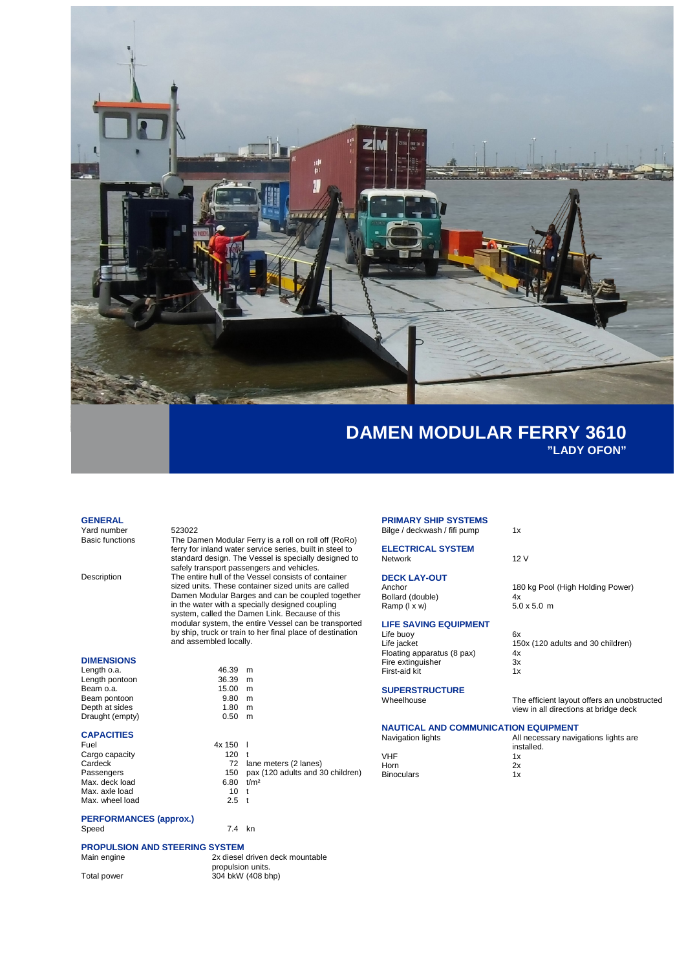

**"LADY OFON"**

180 kg Pool (High Holding Power)<br>4x

 $150x$  (120 adults and 30 children)<br>4x

The efficient layout offers an unobstructed view in all directions at bridge deck

### **GENERAL**

Yard number 523022<br>Basic functions The Dar

The Damen Modular Ferry is a roll on roll off (RoRo) ferry for inland water service series, built in steel to standard design. The Vessel is specially designed to safely transport passengers and vehicles. Description The entire hull of the Vessel consists of container sized units. These container sized units are called Damen Modular Barges and can be coupled together in the water with a specially designed coupling system, called the Damen Link. Because of this modular system, the entire Vessel can be transported by ship, truck or train to her final place of destination and assembled locally.

### **DIMENSIONS**

| Length o.a.     | 46.39 | m |
|-----------------|-------|---|
| Length pontoon  | 36.39 | m |
| Beam o.a.       | 15.00 | m |
| Beam pontoon    | 9.80  | m |
| Depth at sides  | 1.80  | m |
| Draught (empty) | 0.50  | m |
|                 |       |   |

# **CAPACITIES**

Cargo capacity 120 t<br>Cardeck 120 t Max. deck load 6.80 t<br>Max. axle load 6.80 t Max. axle load 10 t<br>
Max. wheel load 2.5 t Max. wheel load

 $9.80$  m<br>1.80 m  $1.80$  m<br>0.50 m  $4x 150$  l<br> $120$  t Cardeck 72 lane meters (2 lanes)<br>Passengers 72 lane meters (2 lanes) 150 pax (120 adults and 30 children)<br>6.80  $t/m^2$ 

### **PERFORMANCES (approx.)** Speed 7.4 kn

 $46.39$  m<br> $36.39$  m

 $\begin{array}{cc} 15.00 & m \\ 9.80 & m \end{array}$ 

## **PROPULSION AND STEERING SYSTEM**

Main engine **2x** diesel driven deck mountable propulsion units. Total power 304 bkW (408 bhp)

#### **PRIMARY SHIP SYSTEMS** Bilge / deckwash / fifi pump 1x

**ELECTRICAL SYSTEM** Network 12 V

# **DECK LAY-OUT**

Bollard (double)  $4x$ <br>
Ramp ( $1 \times w$ )  $5.0 \times 5.0 m$ Ramp (I x w)

# **LIFE SAVING EQUIPMENT**

Life buoy 6x<br>
Life buoy 6x<br>
Life jacket 15 Floating apparatus (8 pax) 4x<br>Fire extinguisher 3x Fire extinguisher 3x<br>Fire extinguisher 3x<br>First-aid kit 1x First-aid kit

**SUPERSTRUCTURE**

## **NAUTICAL AND COMMUNICATION EQUIPMENT**

| Navigation lights | All necessary navigations lights are<br>installed. |
|-------------------|----------------------------------------------------|
| VHF               | 1x                                                 |
| Horn              | 2x                                                 |
| <b>Binoculars</b> | 1 x                                                |
|                   |                                                    |